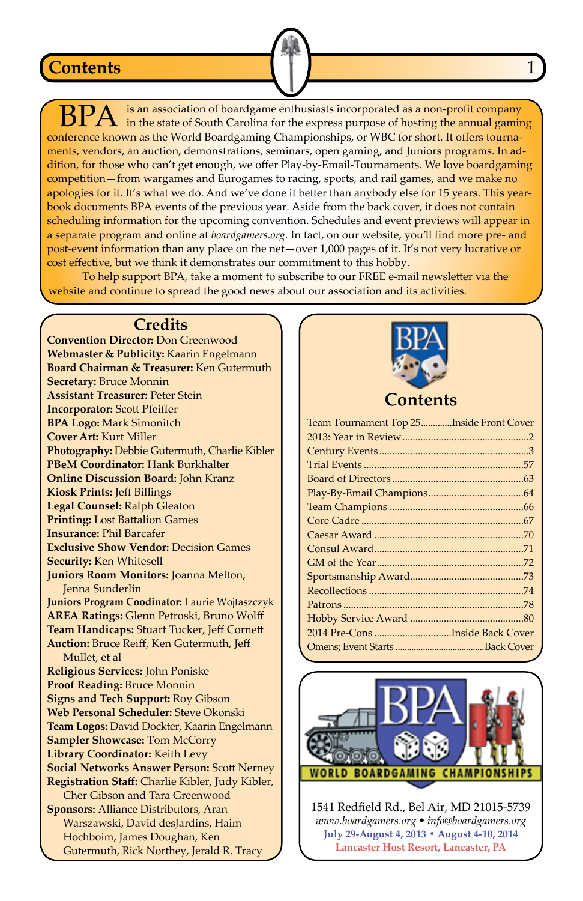#### **Contents**

is an association of boardgame enthusiasts incorporated as a non-profit company in the state of South Carolina for the express purpose of hosting the annual gaming conference known as the World Boardgaming Championships, or WBC for short. It offers tournaments, vendors, an auction, demonstrations, seminars, open gaming, and Juniors programs. In addition, for those who can't get enough, we offer Play-by-Email-Tournaments. We love boardgaming competition—from wargames and Eurogames to racing, sports, and rail games, and we make no apologies for it. It's what we do. And we've done it better than anybody else for 15 years. This yearbook documents BPA events of the previous year. Aside from the back cover, it does not contain scheduling information for the upcoming convention. Schedules and event previews will appear in a separate program and online at *boardgamers.org.* In fact, on our website, you'll find more pre- and post-event information than any place on the net—over 1,000 pages of it. It's not very lucrative or cost effective, but we think it demonstrates our commitment to this hobby.

To help support BPA, take a moment to subscribe to our FREE e-mail newsletter via the website and continue to spread the good news about our association and its activities.

#### **Credits**

**Convention Director:** Don Greenwood **Webmaster & Publicity:** Kaarin Engelmann **Board Chairman & Treasurer:** Ken Gutermuth **Secretary:** Bruce Monnin **Assistant Treasurer:** Peter Stein **Incorporator:** Scott Pfeiffer **BPA Logo:** Mark Simonitch **Cover Art:** Kurt Miller **Photography:** Debbie Gutermuth, Charlie Kibler **PBeM Coordinator:** Hank Burkhalter **Online Discussion Board:** John Kranz **Kiosk Prints:** Jeff Billings **Legal Counsel:** Ralph Gleaton **Printing:** Lost Battalion Games **Insurance:** Phil Barcafer **Exclusive Show Vendor:** Decision Games **Security:** Ken Whitesell **Juniors Room Monitors:** Joanna Melton, Jenna Sunderlin **Juniors Program Coodinator:** Laurie Wojtaszczyk **AREA Ratings:** Glenn Petroski, Bruno Wolff **Team Handicaps:** Stuart Tucker, Jeff Cornett **Auction:** Bruce Reiff, Ken Gutermuth, Jeff Mullet, et al **Religious Services:** John Poniske **Proof Reading:** Bruce Monnin **Signs and Tech Support:** Roy Gibson **Web Personal Scheduler:** Steve Okonski **Team Logos:** David Dockter, Kaarin Engelmann **Sampler Showcase:** Tom McCorry **Library Coordinator:** Keith Levy **Social Networks Answer Person:** Scott Nerney **Registration Staff:** Charlie Kibler, Judy Kibler, Cher Gibson and Tara Greenwood **Sponsors:** Alliance Distributors, Aran Warszawski, David desJardins, Haim Hochboim, James Doughan, Ken Gutermuth, Rick Northey, Jerald R. Tracy



**Contents**

| Team Tournament Top 25Inside Front Cover |  |
|------------------------------------------|--|
|                                          |  |
|                                          |  |
|                                          |  |
|                                          |  |
|                                          |  |
|                                          |  |
|                                          |  |
|                                          |  |
|                                          |  |
|                                          |  |
|                                          |  |
|                                          |  |
|                                          |  |
|                                          |  |
|                                          |  |
|                                          |  |
|                                          |  |



1541 Redfield Rd., Bel Air, MD 21015-5739 *www.boardgamers.org • info@boardgamers.org* **July 29-August 4, 2013 • August 4-10, 2014 Lancaster Host Resort, Lancaster, PA**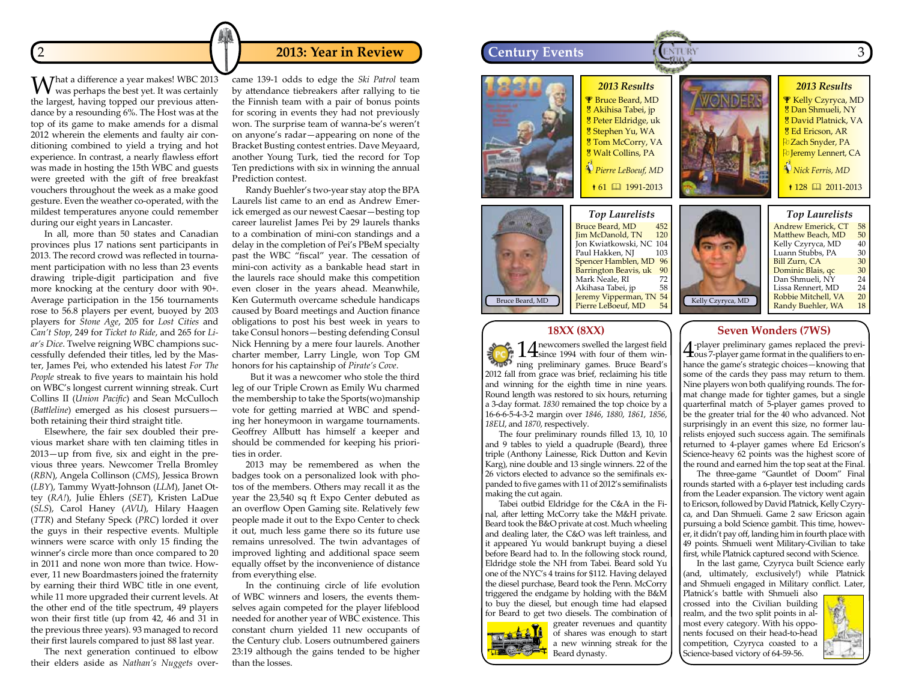What a difference a year makes! WBC 2013 was perhaps the best yet. It was certainly the largest, having topped our previous attendance by a resounding 6%. The Host was at the top of its game to make amends for a dismal 2012 wherein the elements and faulty air conditioning combined to yield a trying and hot experience. In contrast, a nearly flawless effort was made in hosting the 15th WBC and guests were greeted with the gift of free breakfast vouchers throughout the week as a make good gesture. Even the weather co-operated, with the mildest temperatures anyone could remember during our eight years in Lancaster.

In all, more than 50 states and Canadian provinces plus 17 nations sent participants in 2013. The record crowd was reflected in tournament participation with no less than 23 events drawing triple-digit participation and five more knocking at the century door with 90+. Average participation in the 156 tournaments rose to 56.8 players per event, buoyed by 203 players for *Stone Age*, 205 for *Lost Cities* and *Can't Stop*, 249 for *Ticket to Ride*, and 265 for *Liar's Dice*. Twelve reigning WBC champions successfully defended their titles, led by the Master, James Pei, who extended his latest *For The People* streak to five years to maintain his hold on WBC's longest current winning streak. Curt Collins II (*Union Pacific*) and Sean McCulloch (*Battleline*) emerged as his closest pursuers both retaining their third straight title.

Elsewhere, the fair sex doubled their previous market share with ten claiming titles in 2013—up from five, six and eight in the previous three years. Newcomer Trella Bromley (*RBN*), Angela Collinson (*CMS*), Jessica Brown (*LBY*), Tammy Wyatt-Johnson (*LLM*), Janet Ottey (*RA!*), Julie Ehlers (*SET*), Kristen LaDue (*SLS*), Carol Haney (*AVU*), Hilary Haagen (*TTR*) and Stefany Speck (*PRC*) lorded it over the guys in their respective events. Multiple winners were scarce with only 15 finding the winner's circle more than once compared to 20 in 2011 and none won more than twice. However, 11 new Boardmasters joined the fraternity by earning their third WBC title in one event, while 11 more upgraded their current levels. At the other end of the title spectrum, 49 players won their first title (up from 42, 46 and 31 in the previous three years). 93 managed to record their first laurels compared to just 88 last year.

The next generation continued to elbow their elders aside as *Nathan's Nuggets* overcame 139-1 odds to edge the *Ski Patrol* team by attendance tiebreakers after rallying to tie the Finnish team with a pair of bonus points for scoring in events they had not previously won. The surprise team of wanna-be's weren't on anyone's radar—appearing on none of the Bracket Busting contest entries. Dave Meyaard, another Young Turk, tied the record for Top Ten predictions with six in winning the annual Prediction contest.

Randy Buehler's two-year stay atop the BPA Laurels list came to an end as Andrew Emerick emerged as our newest Caesar—besting top career laurelist James Pei by 29 laurels thanks to a combination of mini-con standings and a delay in the completion of Pei's PBeM specialty past the WBC "fiscal" year. The cessation of mini-con activity as a bankable head start in the laurels race should make this competition even closer in the years ahead. Meanwhile, Ken Gutermuth overcame schedule handicaps caused by Board meetings and Auction finance obligations to post his best week in years to take Consul honors—besting defending Consul Nick Henning by a mere four laurels. Another charter member, Larry Lingle, won Top GM honors for his captainship of *Pirate's Cove*.

 But it was a newcomer who stole the third leg of our Triple Crown as Emily Wu charmed the membership to take the Sports(wo)manship vote for getting married at WBC and spending her honeymoon in wargame tournaments. Geoffrey Allbutt has himself a keeper and should be commended for keeping his priorities in order.

2013 may be remembered as when the badges took on a personalized look with photos of the members. Others may recall it as the year the 23,540 sq ft Expo Center debuted as an overflow Open Gaming site. Relatively few people made it out to the Expo Center to check it out, much less game there so its future use remains unresolved. The twin advantages of improved lighting and additional space seem equally offset by the inconvenience of distance from everything else.

In the continuing circle of life evolution of WBC winners and losers, the events themselves again competed for the player lifeblood needed for another year of WBC existence. This constant churn yielded 11 new occupants of the Century club. Losers outnumbered gainers 23:19 although the gains tended to be higher than the losses.

# *2013 Results* **2 2013: Year in Review 1 2013: Year in Review 1 2014 Century Events**





*Top Laurelists* Bruce Beard, MD 452<br>Jim McDanold, TN 120 Jim McDanold, TN Jon Kwiatkowski, NC 104 Paul Hakken, NJ Spencer Hamblen, MD 96<br>Barrington Beavis, uk 90 Barrington Beavis, uk 90 Mark Neale, RI 72<br>Akihasa Tabei, jp 58 Akihasa Tabei, jp 58<br>Jeremy Vipperman, TN 54 Jeremy Vipperman, TN 54 Pierre LeBoeuf, MD Bruce Beard, MD  $\left|\right|$  Jeremy Vipperman, IN 54 Kelly Czyryca, MD

**P** Bruce Beard, MD Akihisa Tabei, jp **g** Peter Eldridge, uk Stephen Yu, WA **8 Tom McCorry, VA** Walt Collins, PA  *Pierre LeBoeuf, MD* ↑ 61 1991-2013



*Top Laurelists* **Andrew Emerick, CT** 58<br>Matthew Beach, MD 50 Matthew Beach, MD 50<br>Kelly Czyryca, MD 40 Kelly Czyryca, MD 40<br>Luann Stubbs, PA 30 Luann Stubbs, PA 30<br>Bill Zurn, CA 30 Bill Zurn, CA 30<br>Dominic Blais, qc 30 <mark>Dominic Blais, qc 30</mark><br>Dan Shmueli, NY 24 Lissa Rennert, MD <mark>24</mark><br>Robbie Mitchell, VA 20 Robbie Mitchell, VA 20<br>Randy Buehler, WA 18 Randy Buehler, WA

*2013 Results* **F** Kelly Czyryca, MD Dan Shmueli, NY David Platnick, VA 8 Ed Ericson, AR **D** Zach Snyder, PA *<u>D</u>* Jeremy Lennert, CA  *Nick Ferris, MD* 128 2011-2013

#### **18XX (8XX)**

14 newcomers swelled the largest field<br>ning preliminary games. Bruce Beard's 14 newcomers swelled the largest field<br>since 1994 with four of them win-2012 fall from grace was brief, reclaiming his title and winning for the eighth time in nine years. Round length was restored to six hours, returning a 3-day format. *1830* remained the top choice by a 16-6-6-5-4-3-2 margin over *1846*, *1880*, *1861*, *1856*, *18EU*, and *1870*, respectively.

The four preliminary rounds filled 13, 10, 10 and 9 tables to yield a quadruple (Beard), three triple (Anthony Lainesse, Rick Dutton and Kevin Karg), nine double and 13 single winners. 22 of the 26 victors elected to advance so the semifinals expanded to five games with 11 of 2012's semifinalists making the cut again.

Tabei outbid Eldridge for the C&A in the Final, after letting McCorry take the M&H private. Beard took the B&O private at cost. Much wheeling and dealing later, the C&O was left trainless, and it appeared Yu would bankrupt buying a diesel before Beard had to. In the following stock round, Eldridge stole the NH from Tabei. Beard sold Yu one of the NYC's 4 trains for \$112. Having delayed the diesel purchase, Beard took the Penn. McCorry triggered the endgame by holding with the B&M to buy the diesel, but enough time had elapsed for Beard to get two diesels. The combination of



greater revenues and quantity of shares was enough to start a new winning streak for the Beard dynasty.

# **Seven Wonders (7WS)**

4-player preliminary games replaced the previ-ous 7-player game format in the qualifiers to enhance the game's strategic choices—knowing that some of the cards they pass may return to them. Nine players won both qualifying rounds. The format change made for tighter games, but a single quarterfinal match of 5-player games proved to be the greater trial for the 40 who advanced. Not surprisingly in an event this size, no former laurelists enjoyed such success again. The semifinals returned to 4-player games where Ed Ericson's Science-heavy 62 points was the highest score of the round and earned him the top seat at the Final.

The three-game "Gauntlet of Doom" Final rounds started with a 6-player test including cards from the Leader expansion. The victory went again to Ericson, followed by David Platnick, Kelly Czyryca, and Dan Shmueli. Game 2 saw Ericson again pursuing a bold Science gambit. This time, however, it didn't pay off, landing him in fourth place with 49 points. Shmueli went Military-Civilian to take first, while Platnick captured second with Science.

In the last game, Czyryca built Science early (and, ultimately, exclusively!) while Platnick and Shmueli engaged in Military conflict. Later,

Platnick's battle with Shmueli also crossed into the Civilian building realm, and the two split points in almost every category. With his opponents focused on their head-to-head competition, Czyryca coasted to a Science-based victory of 64-59-56.

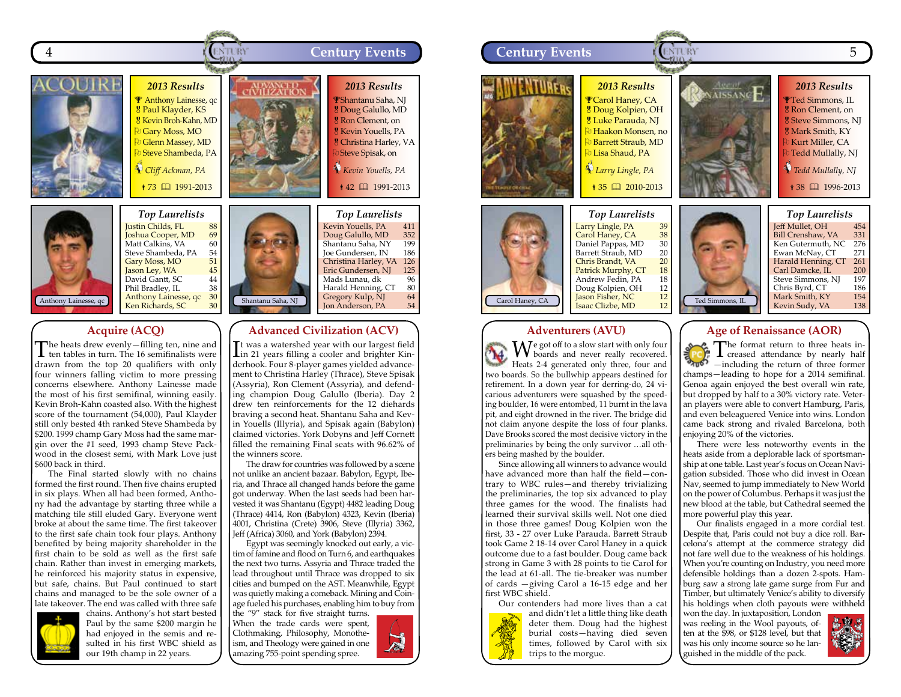



# **Acquire (ACQ)**

The heats drew evenly—filling ten, nine and ten tables in turn. The 16 semifinalists were drawn from the top 20 qualifiers with only four winners falling victim to more pressing concerns elsewhere. Anthony Lainesse made the most of his first semifinal, winning easily. Kevin Broh-Kahn coasted also. With the highest score of the tournament (54,000), Paul Klayder still only bested 4th ranked Steve Shambeda by \$200. 1999 champ Gary Moss had the same margin over the #1 seed, 1993 champ Steve Packwood in the closest semi, with Mark Love just \$600 back in third.

The Final started slowly with no chains formed the first round. Then five chains erupted in six plays. When all had been formed, Anthony had the advantage by starting three while a matching tile still eluded Gary. Everyone went broke at about the same time. The first takeover to the first safe chain took four plays. Anthony benefited by being majority shareholder in the first chain to be sold as well as the first safe chain. Rather than invest in emerging markets, he reinforced his majority status in expensive, but safe, chains. But Paul continued to start chains and managed to be the sole owner of a late takeover. The end was called with three safe



chains. Anthony's hot start bested Paul by the same \$200 margin he had enjoyed in the semis and resulted in his first WBC shield as our 19th champ in 22 years.



.<br>Kevin Youells, PA 411<br>Doug Galullo, MD 352 <mark>Doug Galullo, MD 352</mark><br>Shantanu Saha, NY 199 Shantanu Saha, NY 199<br>Joe Gundersen, IN 186 Joe Gundersen, IN Christina Harley, VA 126 <mark>Eric Gundersen, NJ 125</mark><br>Mads Lunau, dk 196 Mads Lunau, dk<br>Harald Henning, CT 80 Harald Henning, CT Gregory Kulp, NJ 64<br>Ion Anderson, PA 54 Jon Anderson, PA

### **Advanced Civilization (ACV)**

I in 21 years filling a cooler and brighter Kin-It was a watershed year with our largest field derhook. Four 8-player games yielded advancement to Christina Harley (Thrace), Steve Spisak (Assyria), Ron Clement (Assyria), and defending champion Doug Galullo (Iberia). Day 2 drew ten reinforcements for the 12 diehards braving a second heat. Shantanu Saha and Kevin Youells (Illyria), and Spisak again (Babylon) claimed victories. York Dobyns and Jeff Cornett filled the remaining Final seats with 96.62% of the winners score.

The draw for countries was followed by a scene not unlike an ancient bazaar. Babylon, Egypt, Iberia, and Thrace all changed hands before the game got underway. When the last seeds had been harvested it was Shantanu (Egypt) 4482 leading Doug (Thrace) 4414, Ron (Babylon) 4323, Kevin (Iberia) 4001, Christina (Crete) 3906, Steve (Illyria) 3362, Jeff (Africa) 3060, and York (Babylon) 2394.

Egypt was seemingly knocked out early, a victim of famine and flood on Turn 6, and earthquakes the next two turns. Assyria and Thrace traded the lead throughout until Thrace was dropped to six cities and bumped on the AST. Meanwhile, Egypt was quietly making a comeback. Mining and Coinage fueled his purchases, enabling him to buy from

the "9" stack for five straight turns. When the trade cards were spent, Clothmaking, Philosophy, Monotheism, and Theology were gained in one amazing 755-point spending spree.





#### **Adventurers (AVU)**

We got off to a slow start with only four<br>
boards and never really recovered. Heats 2-4 generated only three, four and two boards. So the bullwhip appears destined for retirement. In a down year for derring-do, 24 vicarious adventurers were squashed by the speeding boulder, 16 were entombed, 11 burnt in the lava pit, and eight drowned in the river. The bridge did not claim anyone despite the loss of four planks. Dave Brooks scored the most decisive victory in the preliminaries by being the only survivor …all others being mashed by the boulder.

Since allowing all winners to advance would have advanced more than half the field—contrary to WBC rules—and thereby trivializing the preliminaries, the top six advanced to play three games for the wood. The finalists had learned their survival skills well. Not one died in those three games! Doug Kolpien won the first, 33 - 27 over Luke Parauda. Barrett Straub took Game 2 18-14 over Carol Haney in a quick outcome due to a fast boulder. Doug came back strong in Game 3 with 28 points to tie Carol for the lead at 61-all. The tie-breaker was number of cards —giving Carol a 16-15 edge and her first WBC shield. Our contenders had more lives than a cat

and didn't let a little thing like death deter them. Doug had the highest burial costs—having died seven times, followed by Carol with six trips to the morgue.



**Age of Renaissance (AOR)**

 $\sum_{n=1}^{\infty}$  The format return to three former creased attendance by nearly half —including the return of three former champs—leading to hope for a 2014 semifinal. Genoa again enjoyed the best overall win rate, but dropped by half to a 30% victory rate. Veteran players were able to convert Hamburg, Paris, and even beleaguered Venice into wins. London came back strong and rivaled Barcelona, both enjoying 20% of the victories.

There were less noteworthy events in the heats aside from a deplorable lack of sportsmanship at one table. Last year's focus on Ocean Navigation subsided. Those who did invest in Ocean Nav, seemed to jump immediately to New World on the power of Columbus. Perhaps it was just the new blood at the table, but Cathedral seemed the more powerful play this year.

Our finalists engaged in a more cordial test. Despite that, Paris could not buy a dice roll. Barcelona's attempt at the commerce strategy did not fare well due to the weakness of his holdings. When you're counting on Industry, you need more defensible holdings than a dozen 2-spots. Hamburg saw a strong late game surge from Fur and Timber, but ultimately Venice's ability to diversify his holdings when cloth payouts were withheld

won the day. In juxtaposition, London was reeling in the Wool payouts, often at the \$98, or \$128 level, but that was his only income source so he languished in the middle of the pack.

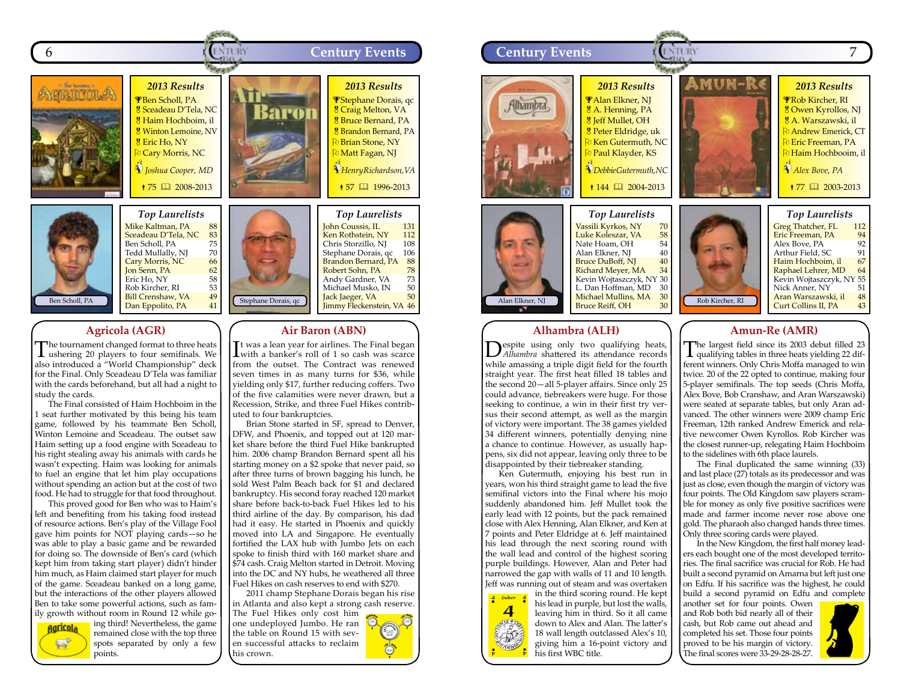



Mike Kaltman, PA 88<br>Sceadeau D'Tela, NC 83 <mark>Sceadeau D'Tela, NC 83</mark><br>Ben Scholl, PA 75<br>Tedd Mullally, NJ 70 Ben Scholl, PA Tedd Mullally, NJ 70<br>Cary Morris, NC 66 Cary Morris, NC 66<br>Jon Senn, PA 62 **Jon Senn, PA** 62<br>Eric Ho. NY 58 Eric Ho, NY 58<br>Rob Kircher, RI 53 Rob Kircher, RI 53<br> **Bill Crenshaw, VA** 49 Bill Crenshaw, VA  $49$ <br>Dan Eppolito, PA  $41$ 

# **Agricola (AGR)**

The tournament changed format to three heats ushering 20 players to four semifinals. We also introduced a "World Championship" deck for the Final. Only Sceadeau D'Tela was familiar with the cards beforehand, but all had a night to study the cards.

The Final consisted of Haim Hochboim in the 1 seat further motivated by this being his team game, followed by his teammate Ben Scholl, Winton Lemoine and Sceadeau. The outset saw Haim setting up a food engine with Sceadeau to his right stealing away his animals with cards he wasn't expecting. Haim was looking for animals to fuel an engine that let him play occupations without spending an action but at the cost of two food. He had to struggle for that food throughout.

This proved good for Ben who was to Haim's left and benefiting from his taking food instead of resource actions. Ben's play of the Village Fool gave him points for NOT playing cards—so he was able to play a basic game and be rewarded for doing so. The downside of Ben's card (which kept him from taking start player) didn't hinder him much, as Haim claimed start player for much of the game. Sceadeau banked on a long game, but the interactions of the other players allowed Ben to take some powerful actions, such as family growth without room in Round 12 while go-



ing third! Nevertheless, the game remained close with the top three spots separated by only a few points.

**Air Baron (ABN)** It was a lean year for airlines. The Final began<br>with a banker's roll of 1 so cash was scarce It was a lean year for airlines. The Final began from the outset. The Contract was renewed seven times in as many turns for \$36, while yielding only \$17, further reducing coffers. Two of the five calamities were never drawn, but a Recession, Strike, and three Fuel Hikes contributed to four bankruptcies.

Brian Stone started in SF, spread to Denver, DFW, and Phoenix, and topped out at 120 market share before the third Fuel Hike bankrupted him. 2006 champ Brandon Bernard spent all his starting money on a \$2 spoke that never paid, so after three turns of brown bagging his lunch, he sold West Palm Beach back for \$1 and declared bankruptcy. His second foray reached 120 market share before back-to-back Fuel Hikes led to his third airline of the day. By comparison, his dad had it easy. He started in Phoenix and quickly moved into LA and Singapore. He eventually fortified the LAX hub with Jumbo Jets on each spoke to finish third with 160 market share and \$74 cash. Craig Melton started in Detroit. Moving into the DC and NY hubs, he weathered all three Fuel Hikes on cash reserves to end with \$270.

Stephane Dorais, qc  $\begin{array}{|c|c|c|c|c|}\n\hline\n\text{Jack Jaeger, VA} & 50 \\
\hline\n\text{Timmy Fleckenstein, VA} & 46\n\end{array}$ 

2011 champ Stephane Dorais began his rise in Atlanta and also kept a strong cash reserve.

The Fuel Hikes only cost him one undeployed Jumbo. He ran the table on Round 15 with seven successful attacks to reclaim his crown.



.<br>Ken Rothstein, NY 112<br>Chris Storzillo. NI 108 Chris Storzillo, NJ 108<br>Stephane Dorais, qc 106 Stephane Dorais, qc 106<br>Brandon Bernard, PA 88 Brandon Bernard, PA 88<br>Robert Sohn, PA 78 Robert Sohn, PA 78<br>Andy Gardner, VA 73 Andy Gardner, VA 73<br>Michael Musko, IN 50 Michael Musko, IN 50<br> **Jack Jaeger, VA** 50 Jack Jaeger, VA



# **Alhambra (ALH)**

**Despite using only two qualifying heats,** *Alhambra* shattered its attendance records while amassing a triple digit field for the fourth straight year. The first heat filled 18 tables and the second 20—all 5-player affairs. Since only 25 could advance, tiebreakers were huge. For those seeking to continue, a win in their first try versus their second attempt, as well as the margin of victory were important. The 38 games yielded 34 different winners, potentially denying nine a chance to continue. However, as usually happens, six did not appear, leaving only three to be disappointed by their tiebreaker standing.

Ken Gutermuth, enjoying his best run in years, won his third straight game to lead the five semifinal victors into the Final where his mojo suddenly abandoned him. Jeff Mullet took the early lead with 12 points, but the pack remained close with Alex Henning, Alan Elkner, and Ken at 7 points and Peter Eldridge at 6. Jeff maintained his lead through the next scoring round with the wall lead and control of the highest scoring purple buildings. However, Alan and Peter had narrowed the gap with walls of 11 and 10 length. Jeff was running out of steam and was overtaken



in the third scoring round. He kept his lead in purple, but lost the walls, leaving him in third. So it all came down to Alex and Alan. The latter's 18 wall length outclassed Alex's 10, giving him a 16-point victory and his first WBC title.

# **Amun-Re (AMR)**

The largest field since its 2003 debut filled 23 qualifying tables in three heats yielding 22 different winners. Only Chris Moffa managed to win twice. 20 of the 22 opted to continue, making four 5-player semifinals. The top seeds (Chris Moffa, Alex Bove, Bob Cranshaw, and Aran Warszawski) were seated at separate tables, but only Aran advanced. The other winners were 2009 champ Eric Freeman, 12th ranked Andrew Emerick and relative newcomer Owen Kyrollos. Rob Kircher was the closest runner-up, relegating Haim Hochboim to the sidelines with 6th place laurels.

The Final duplicated the same winning (33) and last place (27) totals as its predecessor and was just as close, even though the margin of victory was four points. The Old Kingdom saw players scramble for money as only five positive sacrifices were made and farmer income never rose above one gold. The pharaoh also changed hands three times. Only three scoring cards were played.

In the New Kingdom, the first half money leaders each bought one of the most developed territories. The final sacrifice was crucial for Rob. He had built a second pyramid on Amarna but left just one on Edfu. If his sacrifice was the highest, he could build a second pyramid on Edfu and complete

another set for four points. Owen and Rob both bid nearly all of their cash, but Rob came out ahead and completed his set. Those four points proved to be his margin of victory. The final scores were 33-29-28-28-27.

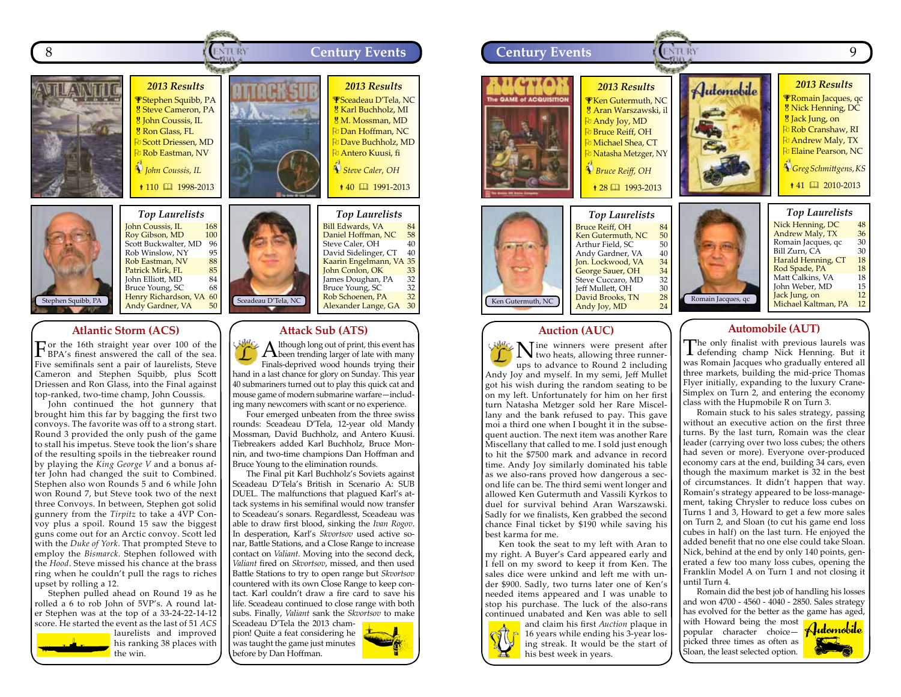



*Top Laurelists* John Coussis, IL 168<br>Roy Gibson, MD 100 Roy Gibson, MD 100 Scott Buckwalter, MD 96<br>Rob Winslow, NY 95 Rob Winslow, NY 95<br>
Rob Eastman, NV 88 Rob Eastman, NV 88<br>Patrick Mirk. FL 85 Patrick Mirk, FL<br>John Elliott, MD 84 John Elliott, MD 84<br>Bruce Young, SC 68 Bruce Young, SC 68 Henry Richardson, VA 60<br>Andy Gardner, VA 50 Andy Gardner, VA

#### **Atlantic Storm (ACS)**

For the 16th straight year over 100 of the BPA's finest answered the call of the sea. Five semifinals sent a pair of laurelists, Steve Cameron and Stephen Squibb, plus Scott Driessen and Ron Glass, into the Final against top-ranked, two-time champ, John Coussis.

John continued the hot gunnery that brought him this far by bagging the first two convoys. The favorite was off to a strong start. Round 3 provided the only push of the game to stall his impetus. Steve took the lion's share of the resulting spoils in the tiebreaker round by playing the *King George V* and a bonus after John had changed the suit to Combined. Stephen also won Rounds 5 and 6 while John won Round 7, but Steve took two of the next three Convoys. In between, Stephen got solid gunnery from the *Tirpitz* to take a 4VP Convoy plus a spoil. Round 15 saw the biggest guns come out for an Arctic convoy. Scott led with the *Duke of York*. That prompted Steve to employ the *Bismarck*. Stephen followed with the *Hood*. Steve missed his chance at the brass ring when he couldn't pull the rags to riches upset by rolling a 12.

Stephen pulled ahead on Round 19 as he rolled a 6 to rob John of 5VP's. A round later Stephen was at the top of a 33-24-22-14-12 score. He started the event as the last of 51 *ACS*



laurelists and improved his ranking 38 places with the win. before by Dan Hoffman.





#### **Auction (AUC)**

Nine winners were present after two heats, allowing three runnerups to advance to Round 2 including Andy Joy and myself. In my semi, Jeff Mullet got his wish during the random seating to be on my left. Unfortunately for him on her first turn Natasha Metzger sold her Rare Miscellany and the bank refused to pay. This gave moi a third one when I bought it in the subsequent auction. The next item was another Rare Miscellany that called to me. I sold just enough to hit the \$7500 mark and advance in record time. Andy Joy similarly dominated his table as we also-rans proved how dangerous a second life can be. The third semi went longer and allowed Ken Gutermuth and Vassili Kyrkos to duel for survival behind Aran Warszawski. Sadly for we finalists, Ken grabbed the second chance Final ticket by \$190 while saving his best karma for me.

Ken took the seat to my left with Aran to my right. A Buyer's Card appeared early and I fell on my sword to keep it from Ken. The sales dice were unkind and left me with under \$900. Sadly, two turns later one of Ken's needed items appeared and I was unable to stop his purchase. The luck of the also-rans continued unabated and Ken was able to sell



and claim his first *Auction* plaque in 16 years while ending his 3-year losing streak. It would be the start of his best week in years.

# **Automobile (AUT)**

The only finalist with previous laurels was defending champ Nick Henning. But it was Romain Jacques who gradually entered all three markets, building the mid-price Thomas Flyer initially, expanding to the luxury Crane-Simplex on Turn 2, and entering the economy class with the Hupmobile R on Turn 3.

Romain stuck to his sales strategy, passing without an executive action on the first three turns. By the last turn, Romain was the clear leader (carrying over two loss cubes; the others had seven or more). Everyone over-produced economy cars at the end, building 34 cars, even though the maximum market is 32 in the best of circumstances. It didn't happen that way. Romain's strategy appeared to be loss-management, taking Chrysler to reduce loss cubes on Turns 1 and 3, Howard to get a few more sales on Turn 2, and Sloan (to cut his game end loss cubes in half) on the last turn. He enjoyed the added benefit that no one else could take Sloan. Nick, behind at the end by only 140 points, generated a few too many loss cubes, opening the Franklin Model A on Turn 1 and not closing it until Turn 4.

Romain did the best job of handling his losses and won 4700 - 4560 - 4040 - 2850. Sales strategy has evolved for the better as the game has aged,

with Howard being the most popular character choice Hudomobile picked three times as often as Sloan, the least selected option.



Sceadeau D'Tela, NC Bill Edwards, VA 84<br>Daniel Hoffman, NC 58 Daniel Hoffman, NC 58<br>Steve Caler. OH 40 Steve Caler, OH 40<br>David Sidelinger, CT 40 David Sidelinger, CT 40 Kaarin Engelmann, VA 35<br>John Conlon, OK 33 John Conlon, OK 33 James Doughan, PA 32<br>Bruce Young, SC 32 Bruce Young, SC 32<br>Rob Schoenen, PA 32 Rob Schoenen, PA Alexander Lange, GA 30

**Attack Sub (ATS)**

A lthough long out of print, this event has<br>been trending larger of late with many Finals-deprived wood hounds trying their hand in a last chance for glory on Sunday. This year 40 submariners turned out to play this quick cat and mouse game of modern submarine warfare—including many newcomers with scant or no experience. Four emerged unbeaten from the three swiss rounds: Sceadeau D'Tela, 12-year old Mandy Mossman, David Buchholz, and Antero Kuusi. Tiebreakers added Karl Buchholz, Bruce Monnin, and two-time champions Dan Hoffman and Bruce Young to the elimination rounds.

The Final pit Karl Buchholz's Soviets against Sceadeau D'Tela's British in Scenario A: SUB DUEL. The malfunctions that plagued Karl's attack systems in his semifinal would now transfer to Sceadeau's sonars. Regardlesst, Sceadeau was able to draw first blood, sinking the *Ivan Rogov*. In desperation, Karl's *Skvortsov* used active sonar, Battle Stations, and a Close Range to increase contact on *Valiant*. Moving into the second deck, *Valiant* fired on *Skvortsov*, missed, and then used Battle Stations to try to open range but *Skvortsov* countered with its own Close Range to keep contact. Karl couldn't draw a fire card to save his life. Sceadeau continued to close range with both